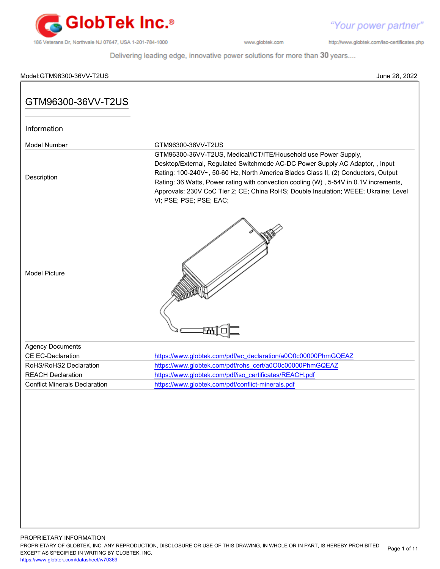

"Your power partner"

http://www.globtek.com/iso-certificates.php

Delivering leading edge, innovative power solutions for more than 30 years....

# Model:GTM96300-36VV-T2US June 28, 2022 PROPRIETARY INFORMATION GTM96300-36VV-T2US Information Model Number GTM96300-36VV-T2US Description GTM96300-36VV-T2US, Medical/ICT/ITE/Household use Power Supply, Desktop/External, Regulated Switchmode AC-DC Power Supply AC Adaptor, , Input Rating: 100-240V~, 50-60 Hz, North America Blades Class II, (2) Conductors, Output Rating: 36 Watts, Power rating with convection cooling (W) , 5-54V in 0.1V increments, Approvals: 230V CoC Tier 2; CE; China RoHS; Double Insulation; WEEE; Ukraine; Level VI; PSE; PSE; PSE; EAC; Model Picture Agency Documents CE EC-Declaration [https://www.globtek.com/pdf/ec\\_declaration/a0O0c00000PhmGQEAZ](https://www.globtek.com/pdf/ec_declaration/a0O0c00000PhmGQEAZ) RoHS/RoHS2 Declaration [https://www.globtek.com/pdf/rohs\\_cert/a0O0c00000PhmGQEAZ](https://www.globtek.com/pdf/rohs_cert/a0O0c00000PhmGQEAZ) REACH Declaration **[https://www.globtek.com/pdf/iso\\_certificates/REACH.pdf](https://www.globtek.com/pdf/iso_certificates/REACH.pdf)** Conflict Minerals Declaration <https://www.globtek.com/pdf/conflict-minerals.pdf>

PROPRIETARY OF GLOBTEK, INC. ANY REPRODUCTION, DISCLOSURE OR USE OF THIS DRAWING, IN WHOLE OR IN PART, IS HEREBY PROHIBITED EXCEPT AS SPECIFIED IN WRITING BY GLOBTEK, INC. Page 1 of 11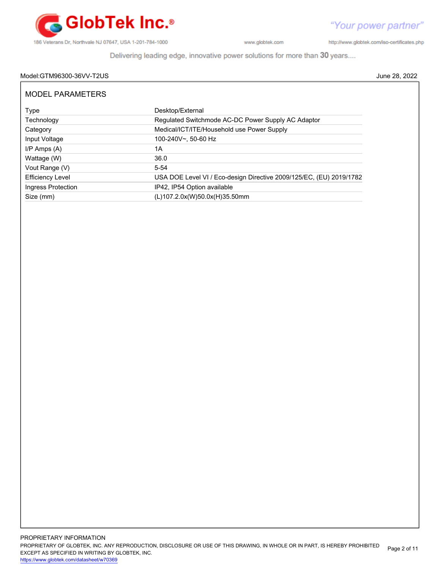

http://www.globtek.com/iso-certificates.php

Delivering leading edge, innovative power solutions for more than 30 years....

# Model:GTM96300-36VV-T2US June 28, 2022

| <b>MODEL PARAMETERS</b> |                                                                     |
|-------------------------|---------------------------------------------------------------------|
| Type                    | Desktop/External                                                    |
| Technology              | Regulated Switchmode AC-DC Power Supply AC Adaptor                  |
| Category                | Medical/ICT/ITE/Household use Power Supply                          |
| Input Voltage           | 100-240V~, 50-60 Hz                                                 |
| $I/P$ Amps $(A)$        | 1А                                                                  |
| Wattage (W)             | 36.0                                                                |
| Vout Range (V)          | $5 - 54$                                                            |
| <b>Efficiency Level</b> | USA DOE Level VI / Eco-design Directive 2009/125/EC, (EU) 2019/1782 |
| Ingress Protection      | IP42, IP54 Option available                                         |
| Size (mm)               | (L)107.2.0x(W)50.0x(H)35.50mm                                       |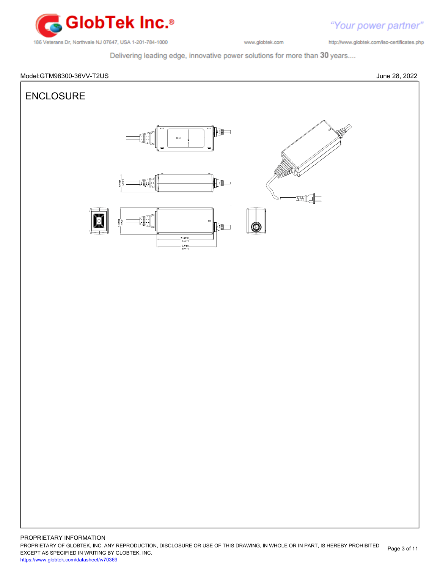

"Your power partner"

http://www.globtek.com/iso-certificates.php

Delivering leading edge, innovative power solutions for more than 30 years....



PROPRIETARY OF GLOBTEK, INC. ANY REPRODUCTION, DISCLOSURE OR USE OF THIS DRAWING, IN WHOLE OR IN PART, IS HEREBY PROHIBITED EXCEPT AS SPECIFIED IN WRITING BY GLOBTEK, INC. Page 3 of 11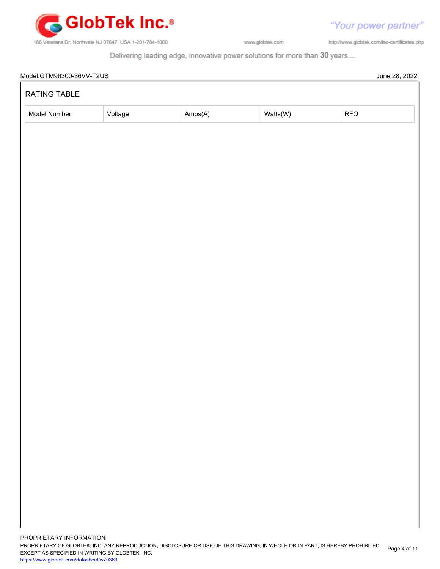

http://www.globtek.com/iso-certificates.php

"Your power partner"

Delivering leading edge, innovative power solutions for more than 30 years....

| RATING TABLE |         |         |          |     |  |
|--------------|---------|---------|----------|-----|--|
| Model Number | Voltage | Amps(A) | Watts(W) | RFQ |  |
|              |         |         |          |     |  |
|              |         |         |          |     |  |
|              |         |         |          |     |  |
|              |         |         |          |     |  |
|              |         |         |          |     |  |
|              |         |         |          |     |  |
|              |         |         |          |     |  |
|              |         |         |          |     |  |
|              |         |         |          |     |  |
|              |         |         |          |     |  |
|              |         |         |          |     |  |
|              |         |         |          |     |  |
|              |         |         |          |     |  |
|              |         |         |          |     |  |
|              |         |         |          |     |  |
|              |         |         |          |     |  |
|              |         |         |          |     |  |
|              |         |         |          |     |  |
|              |         |         |          |     |  |
|              |         |         |          |     |  |
|              |         |         |          |     |  |
|              |         |         |          |     |  |
|              |         |         |          |     |  |
|              |         |         |          |     |  |
|              |         |         |          |     |  |
|              |         |         |          |     |  |
|              |         |         |          |     |  |
|              |         |         |          |     |  |
|              |         |         |          |     |  |
|              |         |         |          |     |  |
|              |         |         |          |     |  |
|              |         |         |          |     |  |
|              |         |         |          |     |  |
|              |         |         |          |     |  |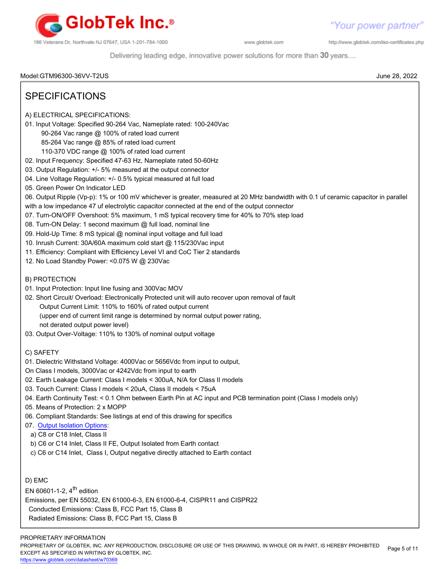

http://www.globtek.com/iso-certificates.php

Delivering leading edge, innovative power solutions for more than 30 years....

Model:GTM96300-36VV-T2US June 28, 2022

# SPECIFICATIONS

- A) ELECTRICAL SPECIFICATIONS:
- 01. Input Voltage: Specified 90-264 Vac, Nameplate rated: 100-240Vac
	- 90-264 Vac range @ 100% of rated load current
	- 85-264 Vac range @ 85% of rated load current
	- 110-370 VDC range @ 100% of rated load current
- 02. Input Frequency: Specified 47-63 Hz, Nameplate rated 50-60Hz
- 03. Output Regulation: +/- 5% measured at the output connector
- 04. Line Voltage Regulation: +/- 0.5% typical measured at full load
- 05. Green Power On Indicator LED
- 06. Output Ripple (Vp-p): 1% or 100 mV whichever is greater, measured at 20 MHz bandwidth with 0.1 uf ceramic capacitor in parallel
- with a low impedance 47 uf electrolytic capacitor connected at the end of the output connector
- 07. Turn-ON/OFF Overshoot: 5% maximum, 1 mS typical recovery time for 40% to 70% step load
- 08. Turn-ON Delay: 1 second maximum @ full load, nominal line
- 09. Hold-Up Time: 8 mS typical @ nominal input voltage and full load
- 10. Inrush Current: 30A/60A maximum cold start @ 115/230Vac input
- 11. Efficiency: Compliant with Efficiency Level VI and CoC Tier 2 standards
- 12. No Load Standby Power: <0.075 W @ 230Vac
- B) PROTECTION
- 01. Input Protection: Input line fusing and 300Vac MOV
- 02. Short Circuit/ Overload: Electronically Protected unit will auto recover upon removal of fault
	- Output Current Limit: 110% to 160% of rated output current (upper end of current limit range is determined by normal output power rating, not derated output power level)
- 03. Output Over-Voltage: 110% to 130% of nominal output voltage
- C) SAFETY
- 01. Dielectric Withstand Voltage: 4000Vac or 5656Vdc from input to output,
- On Class I models, 3000Vac or 4242Vdc from input to earth
- 02. Earth Leakage Current: Class I models < 300uA, N/A for Class II models
- 03. Touch Current: Class I models < 20uA, Class II models < 75uA
- 04. Earth Continuity Test: < 0.1 Ohm between Earth Pin at AC input and PCB termination point (Class I models only)
- 05. Means of Protection: 2 x MOPP
- 06. Compliant Standards: See listings at end of this drawing for specifics
- 07. [Output Isolation Options](https://en.globtek.com/technical-articles/psu-isolation-and-identity):
- a) C8 or C18 Inlet, Class II
- b) C6 or C14 Inlet, Class II FE, Output Isolated from Earth contact
- c) C6 or C14 Inlet, Class I, Output negative directly attached to Earth contact

D) EMC

EN 60601-1-2,  $4<sup>th</sup>$  edition

Emissions, per EN 55032, EN 61000-6-3, EN 61000-6-4, CISPR11 and CISPR22

Conducted Emissions: Class B, FCC Part 15, Class B

Radiated Emissions: Class B, FCC Part 15, Class B

### PROPRIETARY INFORMATION

PROPRIETARY OF GLOBTEK, INC. ANY REPRODUCTION, DISCLOSURE OR USE OF THIS DRAWING, IN WHOLE OR IN PART, IS HEREBY PROHIBITED EXCEPT AS SPECIFIED IN WRITING BY GLOBTEK, INC. Page 5 of 11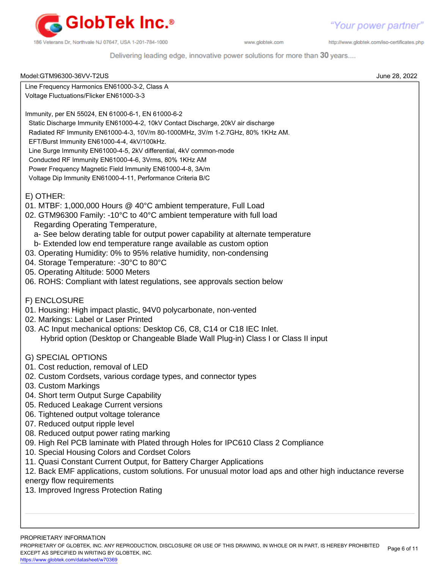

http://www.globtek.com/iso-certificates.php

Delivering leading edge, innovative power solutions for more than 30 years....

| Model:GTM96300-36VV-T2US                                                                                                                                                                                                                                                                                                                                                                                                                                                                                                                                                                                                                                                                                                                                            | June 28, 2022 |
|---------------------------------------------------------------------------------------------------------------------------------------------------------------------------------------------------------------------------------------------------------------------------------------------------------------------------------------------------------------------------------------------------------------------------------------------------------------------------------------------------------------------------------------------------------------------------------------------------------------------------------------------------------------------------------------------------------------------------------------------------------------------|---------------|
| Line Frequency Harmonics EN61000-3-2, Class A                                                                                                                                                                                                                                                                                                                                                                                                                                                                                                                                                                                                                                                                                                                       |               |
| Voltage Fluctuations/Flicker EN61000-3-3                                                                                                                                                                                                                                                                                                                                                                                                                                                                                                                                                                                                                                                                                                                            |               |
| Immunity, per EN 55024, EN 61000-6-1, EN 61000-6-2<br>Static Discharge Immunity EN61000-4-2, 10kV Contact Discharge, 20kV air discharge<br>Radiated RF Immunity EN61000-4-3, 10V/m 80-1000MHz, 3V/m 1-2.7GHz, 80% 1KHz AM.<br>EFT/Burst Immunity EN61000-4-4, 4kV/100kHz.<br>Line Surge Immunity EN61000-4-5, 2kV differential, 4kV common-mode<br>Conducted RF Immunity EN61000-4-6, 3Vrms, 80% 1KHz AM<br>Power Frequency Magnetic Field Immunity EN61000-4-8, 3A/m<br>Voltage Dip Immunity EN61000-4-11, Performance Criteria B/C                                                                                                                                                                                                                                |               |
| E) OTHER:<br>01. MTBF: 1,000,000 Hours @ 40°C ambient temperature, Full Load<br>02. GTM96300 Family: -10°C to 40°C ambient temperature with full load<br>Regarding Operating Temperature,<br>a- See below derating table for output power capability at alternate temperature<br>b- Extended low end temperature range available as custom option<br>03. Operating Humidity: 0% to 95% relative humidity, non-condensing<br>04. Storage Temperature: -30°C to 80°C<br>05. Operating Altitude: 5000 Meters<br>06. ROHS: Compliant with latest regulations, see approvals section below                                                                                                                                                                               |               |
| F) ENCLOSURE<br>01. Housing: High impact plastic, 94V0 polycarbonate, non-vented<br>02. Markings: Label or Laser Printed<br>03. AC Input mechanical options: Desktop C6, C8, C14 or C18 IEC Inlet.<br>Hybrid option (Desktop or Changeable Blade Wall Plug-in) Class I or Class II input                                                                                                                                                                                                                                                                                                                                                                                                                                                                            |               |
| <b>G) SPECIAL OPTIONS</b><br>01. Cost reduction, removal of LED<br>02. Custom Cordsets, various cordage types, and connector types<br>03. Custom Markings<br>04. Short term Output Surge Capability<br>05. Reduced Leakage Current versions<br>06. Tightened output voltage tolerance<br>07. Reduced output ripple level<br>08. Reduced output power rating marking<br>09. High Rel PCB laminate with Plated through Holes for IPC610 Class 2 Compliance<br>10. Special Housing Colors and Cordset Colors<br>11. Quasi Constant Current Output, for Battery Charger Applications<br>12. Back EMF applications, custom solutions. For unusual motor load aps and other high inductance reverse<br>energy flow requirements<br>13. Improved Ingress Protection Rating |               |
|                                                                                                                                                                                                                                                                                                                                                                                                                                                                                                                                                                                                                                                                                                                                                                     |               |

PROPRIETARY INFORMATION

PROPRIETARY OF GLOBTEK, INC. ANY REPRODUCTION, DISCLOSURE OR USE OF THIS DRAWING, IN WHOLE OR IN PART, IS HEREBY PROHIBITED EXCEPT AS SPECIFIED IN WRITING BY GLOBTEK, INC. Page 6 of 11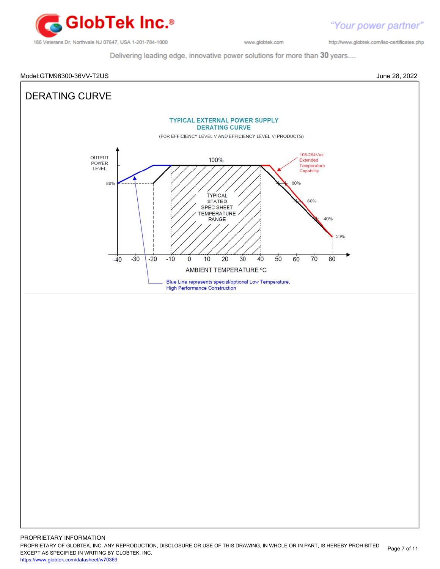

http://www.globtek.com/iso-certificates.php

"Your power partner"

Delivering leading edge, innovative power solutions for more than 30 years....



PROPRIETARY OF GLOBTEK, INC. ANY REPRODUCTION, DISCLOSURE OR USE OF THIS DRAWING, IN WHOLE OR IN PART, IS HEREBY PROHIBITED EXCEPT AS SPECIFIED IN WRITING BY GLOBTEK, INC. Page 7 of 11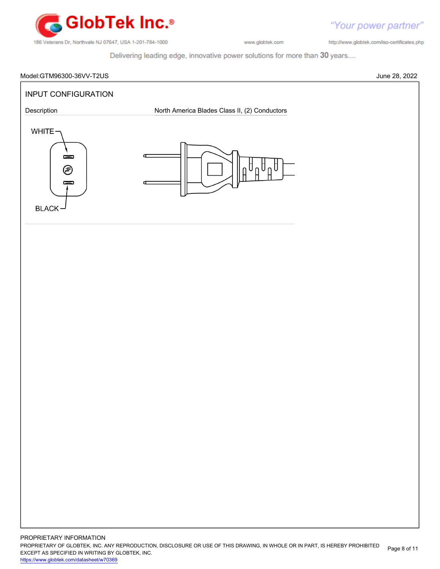

http://www.globtek.com/iso-certificates.php

Delivering leading edge, innovative power solutions for more than 30 years....

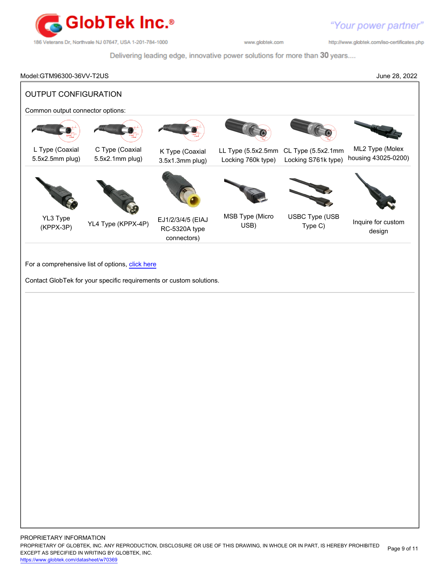

http://www.globtek.com/iso-certificates.php

Delivering leading edge, innovative power solutions for more than 30 years....

# Model:GTM96300-36VV-T2US June 28, 2022 OUTPUT CONFIGURATION Common output connector options: L Type (Coaxial 5.5x2.5mm plug) C Type (Coaxial 5.5x2.1mm plug) K Type (Coaxial 3.5x1.3mm plug) LL Type (5.5x2.5mm CL Type (5.5x2.1mm Locking 760k type) Locking S761k type) ML2 Type (Molex housing 43025-0200) YL3 Type (KPPX-3P) YL4 Type (KPPX-4P) EJ1/2/3/4/5 (EIAJ RC-5320A type connectors) MSB Type (Micro USB) USBC Type (USB Type (OOD Inquire for custom design For a comprehensive list of options, [click here](https://en.globtek.com/globtek-output-cordsets/) Contact GlobTek for your specific requirements or custom solutions.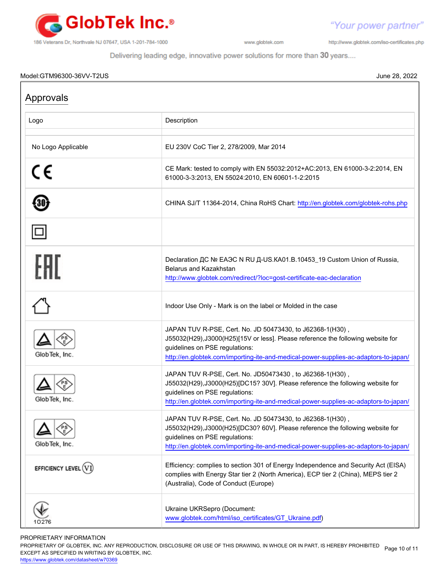

"Your power partner" http://www.globtek.com/iso-certificates.php

Delivering leading edge, innovative power solutions for more than 30 years....

## Model:GTM96300-36VV-T2US June 28, 2022

| Approvals          |                                                                                                                                                                                                                                                                         |
|--------------------|-------------------------------------------------------------------------------------------------------------------------------------------------------------------------------------------------------------------------------------------------------------------------|
| Logo               | Description                                                                                                                                                                                                                                                             |
| No Logo Applicable | EU 230V CoC Tier 2, 278/2009, Mar 2014                                                                                                                                                                                                                                  |
| C€                 | CE Mark: tested to comply with EN 55032:2012+AC:2013, EN 61000-3-2:2014, EN<br>61000-3-3:2013, EN 55024:2010, EN 60601-1-2:2015                                                                                                                                         |
|                    | CHINA SJ/T 11364-2014, China RoHS Chart: http://en.globtek.com/globtek-rohs.php                                                                                                                                                                                         |
|                    |                                                                                                                                                                                                                                                                         |
| FHI                | Declaration <sub>AC</sub> Nº EAGC N RU A-US.KA01.B.10453_19 Custom Union of Russia,<br>Belarus and Kazakhstan<br>http://www.globtek.com/redirect/?loc=gost-certificate-eac-declaration                                                                                  |
|                    | Indoor Use Only - Mark is on the label or Molded in the case                                                                                                                                                                                                            |
| GlobTek, Inc.      | JAPAN TUV R-PSE, Cert. No. JD 50473430, to J62368-1(H30),<br>J55032(H29), J3000(H25)[15V or less]. Please reference the following website for<br>guidelines on PSE regulations:<br>http://en.globtek.com/importing-ite-and-medical-power-supplies-ac-adaptors-to-japan/ |
| GlobTek, Inc.      | JAPAN TUV R-PSE, Cert. No. JD50473430, to J62368-1(H30),<br>J55032(H29),J3000(H25)[DC15? 30V]. Please reference the following website for<br>guidelines on PSE regulations:<br>http://en.globtek.com/importing-ite-and-medical-power-supplies-ac-adaptors-to-japan/     |
| GlobTek, Inc.      | JAPAN TUV R-PSE, Cert. No. JD 50473430, to J62368-1(H30),<br>J55032(H29), J3000(H25)[DC30? 60V]. Please reference the following website for<br>guidelines on PSE regulations:<br>http://en.globtek.com/importing-ite-and-medical-power-supplies-ac-adaptors-to-japan/   |
| EFFICIENCY LEVEL   | Efficiency: complies to section 301 of Energy Independence and Security Act (EISA)<br>complies with Energy Star tier 2 (North America), ECP tier 2 (China), MEPS tier 2<br>(Australia), Code of Conduct (Europe)                                                        |
|                    | Ukraine UKRSepro (Document:<br>www.globtek.com/html/iso_certificates/GT_Ukraine.pdf)                                                                                                                                                                                    |

### PROPRIETARY INFORMATION

PROPRIETARY OF GLOBTEK, INC. ANY REPRODUCTION, DISCLOSURE OR USE OF THIS DRAWING, IN WHOLE OR IN PART, IS HEREBY PROHIBITED Page 10 of 11<br>EXALER 10 OREGIEIER WILKENIG BY OLOREEK WO EXCEPT AS SPECIFIED IN WRITING BY GLOBTEK, INC.